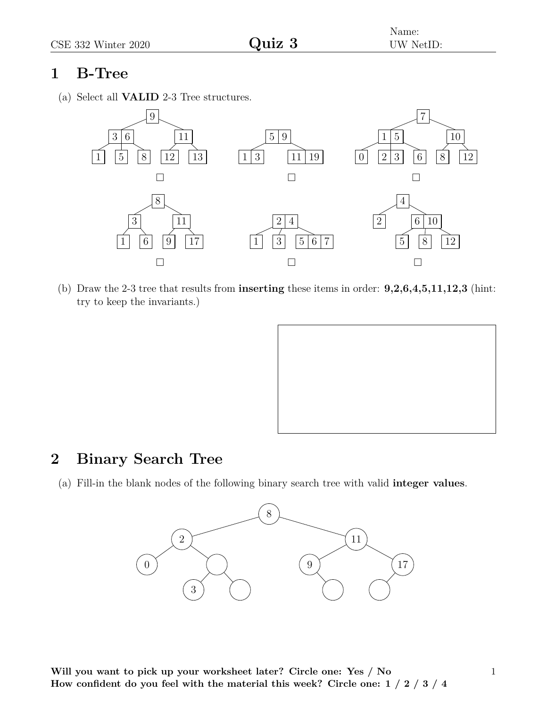## **1 B-Tree**

(a) Select all **VALID** 2-3 Tree structures.



(b) Draw the 2-3 tree that results from **inserting** these items in order: **9,2,6,4,5,11,12,3** (hint: try to keep the invariants.)



## **2 Binary Search Tree**

(a) Fill-in the blank nodes of the following binary search tree with valid **integer values**.